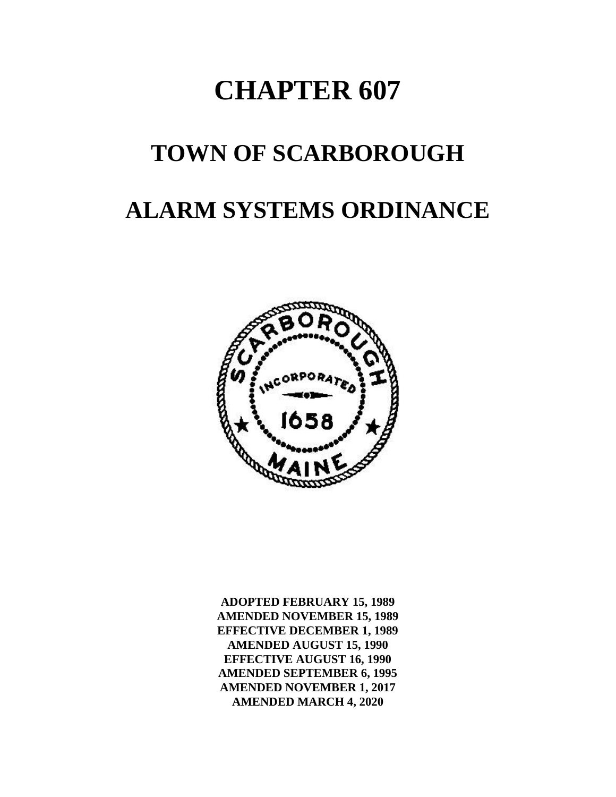# **CHAPTER 607**

## **TOWN OF SCARBOROUGH**

## **ALARM SYSTEMS ORDINANCE**



**ADOPTED FEBRUARY 15, 1989 AMENDED NOVEMBER 15, 1989 EFFECTIVE DECEMBER 1, 1989 AMENDED AUGUST 15, 1990 EFFECTIVE AUGUST 16, 1990 AMENDED SEPTEMBER 6, 1995 AMENDED NOVEMBER 1, 2017 AMENDED MARCH 4, 2020**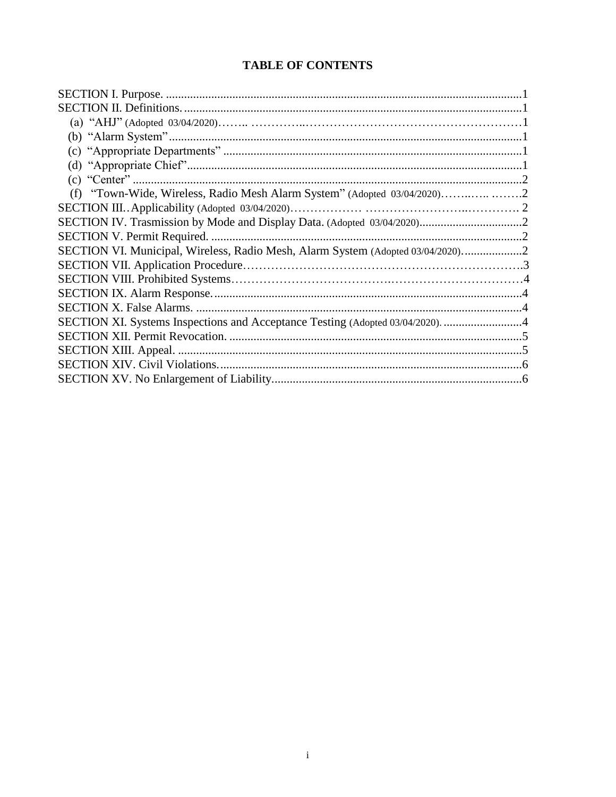#### **TABLE OF CONTENTS**

| (f) "Town-Wide, Wireless, Radio Mesh Alarm System" (Adopted 03/04/2020)         |  |
|---------------------------------------------------------------------------------|--|
|                                                                                 |  |
|                                                                                 |  |
|                                                                                 |  |
| SECTION VI. Municipal, Wireless, Radio Mesh, Alarm System (Adopted 03/04/2020)2 |  |
|                                                                                 |  |
|                                                                                 |  |
|                                                                                 |  |
|                                                                                 |  |
| SECTION XI. Systems Inspections and Acceptance Testing (Adopted 03/04/2020). 4  |  |
|                                                                                 |  |
|                                                                                 |  |
|                                                                                 |  |
|                                                                                 |  |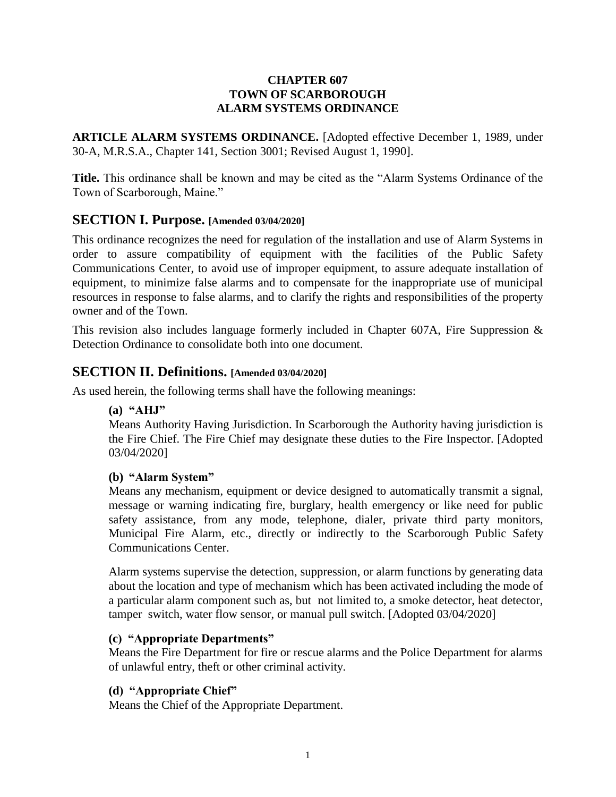#### **CHAPTER 607 TOWN OF SCARBOROUGH ALARM SYSTEMS ORDINANCE**

**ARTICLE ALARM SYSTEMS ORDINANCE.** [Adopted effective December 1, 1989, under 30-A, M.R.S.A., Chapter 141, Section 3001; Revised August 1, 1990].

**Title.** This ordinance shall be known and may be cited as the "Alarm Systems Ordinance of the Town of Scarborough, Maine."

#### <span id="page-2-0"></span>**SECTION I. Purpose. [Amended 03/04/2020]**

This ordinance recognizes the need for regulation of the installation and use of Alarm Systems in order to assure compatibility of equipment with the facilities of the Public Safety Communications Center, to avoid use of improper equipment, to assure adequate installation of equipment, to minimize false alarms and to compensate for the inappropriate use of municipal resources in response to false alarms, and to clarify the rights and responsibilities of the property owner and of the Town.

<span id="page-2-1"></span>This revision also includes language formerly included in Chapter 607A, Fire Suppression  $\&$ Detection Ordinance to consolidate both into one document.

#### **SECTION II. Definitions. [Amended 03/04/2020]**

<span id="page-2-2"></span>As used herein, the following terms shall have the following meanings:

**(a) "AHJ"**

Means Authority Having Jurisdiction. In Scarborough the Authority having jurisdiction is the Fire Chief. The Fire Chief may designate these duties to the Fire Inspector. [Adopted 03/04/2020]

#### **(b) "Alarm System"**

Means any mechanism, equipment or device designed to automatically transmit a signal, message or warning indicating fire, burglary, health emergency or like need for public safety assistance, from any mode, telephone, dialer, private third party monitors, Municipal Fire Alarm, etc., directly or indirectly to the Scarborough Public Safety Communications Center.

Alarm systems supervise the detection, suppression, or alarm functions by generating data about the location and type of mechanism which has been activated including the mode of a particular alarm component such as, but not limited to, a smoke detector, heat detector, tamper switch, water flow sensor, or manual pull switch. [Adopted 03/04/2020]

#### <span id="page-2-3"></span>**(c) "Appropriate Departments"**

Means the Fire Department for fire or rescue alarms and the Police Department for alarms of unlawful entry, theft or other criminal activity.

#### <span id="page-2-4"></span>**(d) "Appropriate Chief"**

Means the Chief of the Appropriate Department.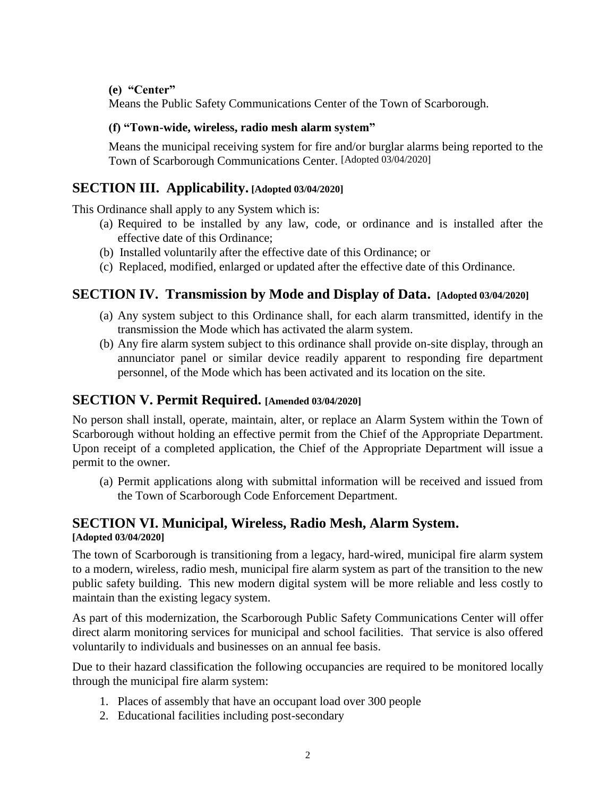<span id="page-3-0"></span>**(e) "Center"**

Means the Public Safety Communications Center of the Town of Scarborough.

#### <span id="page-3-1"></span>**(f) "Town-wide, wireless, radio mesh alarm system"**

Means the municipal receiving system for fire and/or burglar alarms being reported to the Town of Scarborough Communications Center. [Adopted 03/04/2020]

#### **SECTION III. Applicability. [Adopted 03/04/2020]**

This Ordinance shall apply to any System which is:

- (a) Required to be installed by any law, code, or ordinance and is installed after the effective date of this Ordinance;
- (b) Installed voluntarily after the effective date of this Ordinance; or
- (c) Replaced, modified, enlarged or updated after the effective date of this Ordinance.

#### **SECTION IV. Transmission by Mode and Display of Data. [Adopted 03/04/2020]**

- (a) Any system subject to this Ordinance shall, for each alarm transmitted, identify in the transmission the Mode which has activated the alarm system.
- (b) Any fire alarm system subject to this ordinance shall provide on-site display, through an annunciator panel or similar device readily apparent to responding fire department personnel, of the Mode which has been activated and its location on the site.

#### **SECTION V. Permit Required. [Amended 03/04/2020]**

No person shall install, operate, maintain, alter, or replace an Alarm System within the Town of Scarborough without holding an effective permit from the Chief of the Appropriate Department. Upon receipt of a completed application, the Chief of the Appropriate Department will issue a permit to the owner.

(a) Permit applications along with submittal information will be received and issued from the Town of Scarborough Code Enforcement Department.

#### **SECTION VI. Municipal, Wireless, Radio Mesh, Alarm System. [Adopted 03/04/2020]**

The town of Scarborough is transitioning from a legacy, hard-wired, municipal fire alarm system to a modern, wireless, radio mesh, municipal fire alarm system as part of the transition to the new public safety building. This new modern digital system will be more reliable and less costly to maintain than the existing legacy system.

As part of this modernization, the Scarborough Public Safety Communications Center will offer direct alarm monitoring services for municipal and school facilities. That service is also offered voluntarily to individuals and businesses on an annual fee basis.

Due to their hazard classification the following occupancies are required to be monitored locally through the municipal fire alarm system:

- 1. Places of assembly that have an occupant load over 300 people
- 2. Educational facilities including post-secondary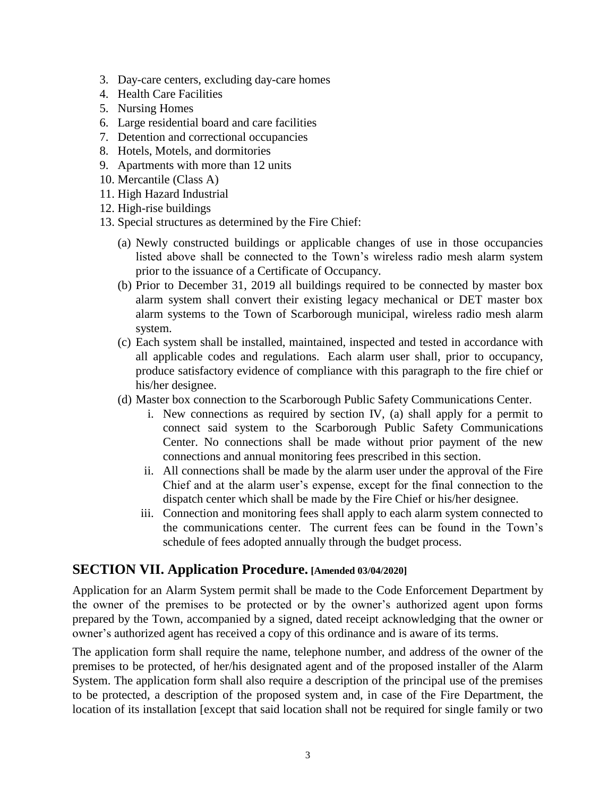- 3. Day-care centers, excluding day-care homes
- 4. Health Care Facilities
- 5. Nursing Homes
- 6. Large residential board and care facilities
- 7. Detention and correctional occupancies
- 8. Hotels, Motels, and dormitories
- 9. Apartments with more than 12 units
- 10. Mercantile (Class A)
- 11. High Hazard Industrial
- 12. High-rise buildings
- 13. Special structures as determined by the Fire Chief:
	- (a) Newly constructed buildings or applicable changes of use in those occupancies listed above shall be connected to the Town's wireless radio mesh alarm system prior to the issuance of a Certificate of Occupancy.
	- (b) Prior to December 31, 2019 all buildings required to be connected by master box alarm system shall convert their existing legacy mechanical or DET master box alarm systems to the Town of Scarborough municipal, wireless radio mesh alarm system.
	- (c) Each system shall be installed, maintained, inspected and tested in accordance with all applicable codes and regulations. Each alarm user shall, prior to occupancy, produce satisfactory evidence of compliance with this paragraph to the fire chief or his/her designee.
	- (d) Master box connection to the Scarborough Public Safety Communications Center.
		- i. New connections as required by section IV, (a) shall apply for a permit to connect said system to the Scarborough Public Safety Communications Center. No connections shall be made without prior payment of the new connections and annual monitoring fees prescribed in this section.
		- ii. All connections shall be made by the alarm user under the approval of the Fire Chief and at the alarm user's expense, except for the final connection to the dispatch center which shall be made by the Fire Chief or his/her designee.
		- iii. Connection and monitoring fees shall apply to each alarm system connected to the communications center. The current fees can be found in the Town's schedule of fees adopted annually through the budget process.

## **SECTION VII. Application Procedure. [Amended 03/04/2020]**

Application for an Alarm System permit shall be made to the Code Enforcement Department by the owner of the premises to be protected or by the owner's authorized agent upon forms prepared by the Town, accompanied by a signed, dated receipt acknowledging that the owner or owner's authorized agent has received a copy of this ordinance and is aware of its terms.

The application form shall require the name, telephone number, and address of the owner of the premises to be protected, of her/his designated agent and of the proposed installer of the Alarm System. The application form shall also require a description of the principal use of the premises to be protected, a description of the proposed system and, in case of the Fire Department, the location of its installation [except that said location shall not be required for single family or two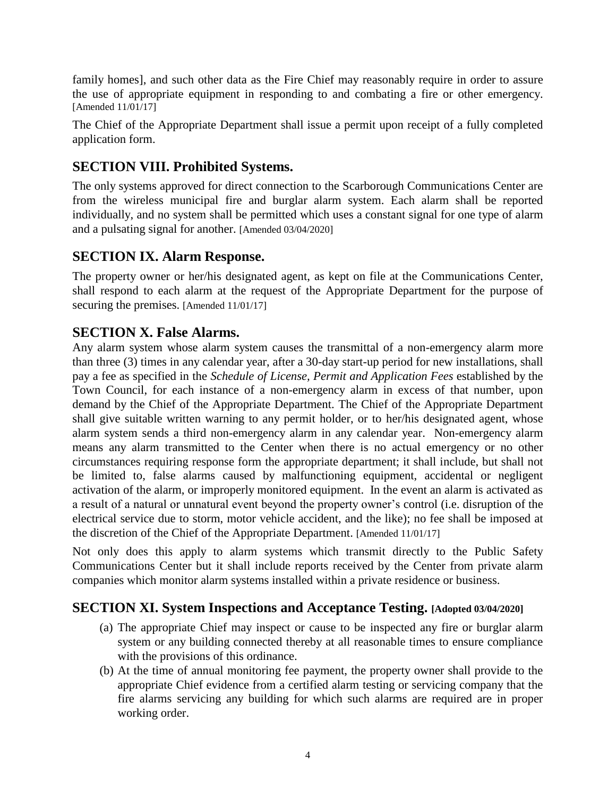family homes], and such other data as the Fire Chief may reasonably require in order to assure the use of appropriate equipment in responding to and combating a fire or other emergency. [Amended 11/01/17]

The Chief of the Appropriate Department shall issue a permit upon receipt of a fully completed application form.

## **SECTION VIII. Prohibited Systems.**

The only systems approved for direct connection to the Scarborough Communications Center are from the wireless municipal fire and burglar alarm system. Each alarm shall be reported individually, and no system shall be permitted which uses a constant signal for one type of alarm and a pulsating signal for another. [Amended 03/04/2020]

## <span id="page-5-0"></span>**SECTION IX. Alarm Response.**

The property owner or her/his designated agent, as kept on file at the Communications Center, shall respond to each alarm at the request of the Appropriate Department for the purpose of securing the premises. [Amended 11/01/17]

#### <span id="page-5-1"></span>**SECTION X. False Alarms.**

Any alarm system whose alarm system causes the transmittal of a non-emergency alarm more than three (3) times in any calendar year, after a 30-day start-up period for new installations, shall pay a fee as specified in the *Schedule of License, Permit and Application Fees* established by the Town Council, for each instance of a non-emergency alarm in excess of that number, upon demand by the Chief of the Appropriate Department. The Chief of the Appropriate Department shall give suitable written warning to any permit holder, or to her/his designated agent, whose alarm system sends a third non-emergency alarm in any calendar year. Non-emergency alarm means any alarm transmitted to the Center when there is no actual emergency or no other circumstances requiring response form the appropriate department; it shall include, but shall not be limited to, false alarms caused by malfunctioning equipment, accidental or negligent activation of the alarm, or improperly monitored equipment. In the event an alarm is activated as a result of a natural or unnatural event beyond the property owner's control (i.e. disruption of the electrical service due to storm, motor vehicle accident, and the like); no fee shall be imposed at the discretion of the Chief of the Appropriate Department. [Amended 11/01/17]

Not only does this apply to alarm systems which transmit directly to the Public Safety Communications Center but it shall include reports received by the Center from private alarm companies which monitor alarm systems installed within a private residence or business.

## **SECTION XI. System Inspections and Acceptance Testing. [Adopted 03/04/2020]**

- (a) The appropriate Chief may inspect or cause to be inspected any fire or burglar alarm system or any building connected thereby at all reasonable times to ensure compliance with the provisions of this ordinance.
- (b) At the time of annual monitoring fee payment, the property owner shall provide to the appropriate Chief evidence from a certified alarm testing or servicing company that the fire alarms servicing any building for which such alarms are required are in proper working order.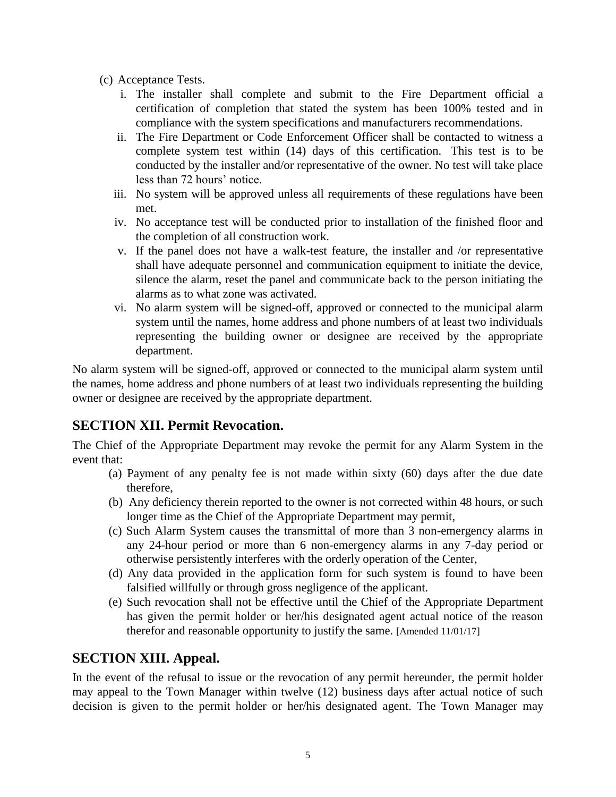- (c) Acceptance Tests.
	- i. The installer shall complete and submit to the Fire Department official a certification of completion that stated the system has been 100% tested and in compliance with the system specifications and manufacturers recommendations.
	- ii. The Fire Department or Code Enforcement Officer shall be contacted to witness a complete system test within (14) days of this certification. This test is to be conducted by the installer and/or representative of the owner. No test will take place less than 72 hours' notice.
	- iii. No system will be approved unless all requirements of these regulations have been met.
	- iv. No acceptance test will be conducted prior to installation of the finished floor and the completion of all construction work.
	- v. If the panel does not have a walk-test feature, the installer and /or representative shall have adequate personnel and communication equipment to initiate the device, silence the alarm, reset the panel and communicate back to the person initiating the alarms as to what zone was activated.
	- vi. No alarm system will be signed-off, approved or connected to the municipal alarm system until the names, home address and phone numbers of at least two individuals representing the building owner or designee are received by the appropriate department.

No alarm system will be signed-off, approved or connected to the municipal alarm system until the names, home address and phone numbers of at least two individuals representing the building owner or designee are received by the appropriate department.

## <span id="page-6-0"></span>**SECTION XII. Permit Revocation.**

The Chief of the Appropriate Department may revoke the permit for any Alarm System in the event that:

- (a) Payment of any penalty fee is not made within sixty (60) days after the due date therefore,
- (b) Any deficiency therein reported to the owner is not corrected within 48 hours, or such longer time as the Chief of the Appropriate Department may permit,
- (c) Such Alarm System causes the transmittal of more than 3 non-emergency alarms in any 24-hour period or more than 6 non-emergency alarms in any 7-day period or otherwise persistently interferes with the orderly operation of the Center,
- (d) Any data provided in the application form for such system is found to have been falsified willfully or through gross negligence of the applicant.
- (e) Such revocation shall not be effective until the Chief of the Appropriate Department has given the permit holder or her/his designated agent actual notice of the reason therefor and reasonable opportunity to justify the same. [Amended 11/01/17]

## <span id="page-6-1"></span>**SECTION XIII. Appeal.**

In the event of the refusal to issue or the revocation of any permit hereunder, the permit holder may appeal to the Town Manager within twelve (12) business days after actual notice of such decision is given to the permit holder or her/his designated agent. The Town Manager may